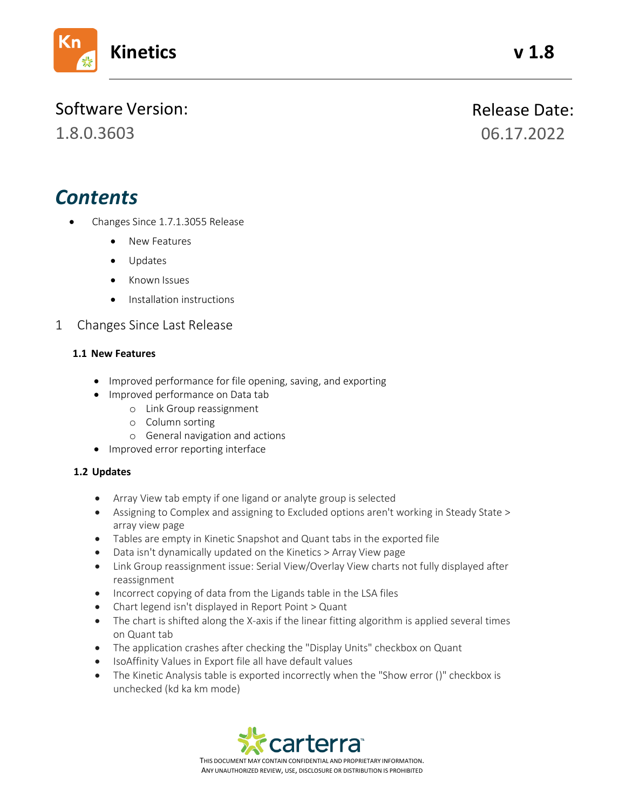

1.8.0.3603

Release Date: 06.17.2022

# *Contents*

- Changes Since 1.7.1.3055 Release
	- New Features
	- Updates
	- Known Issues
	- Installation instructions
- 1 Changes Since Last Release

### **1.1 New Features**

- Improved performance for file opening, saving, and exporting
- Improved performance on Data tab
	- o Link Group reassignment
	- o Column sorting
	- o General navigation and actions
- Improved error reporting interface

### **1.2 Updates**

- Array View tab empty if one ligand or analyte group is selected
- Assigning to Complex and assigning to Excluded options aren't working in Steady State > array view page
- Tables are empty in Kinetic Snapshot and Quant tabs in the exported file
- Data isn't dynamically updated on the Kinetics > Array View page
- Link Group reassignment issue: Serial View/Overlay View charts not fully displayed after reassignment
- Incorrect copying of data from the Ligands table in the LSA files
- Chart legend isn't displayed in Report Point > Quant
- The chart is shifted along the X-axis if the linear fitting algorithm is applied several times on Quant tab
- The application crashes after checking the "Display Units" checkbox on Quant
- IsoAffinity Values in Export file all have default values
- The Kinetic Analysis table is exported incorrectly when the "Show error ()" checkbox is unchecked (kd ka km mode)



THIS DOCUMENT MAY CONTAIN CONFIDENTIAL AND PROPRIETARY INFORMATION. ANY UNAUTHORIZED REVIEW, USE, DISCLOSURE OR DISTRIBUTION IS PROHIBITED